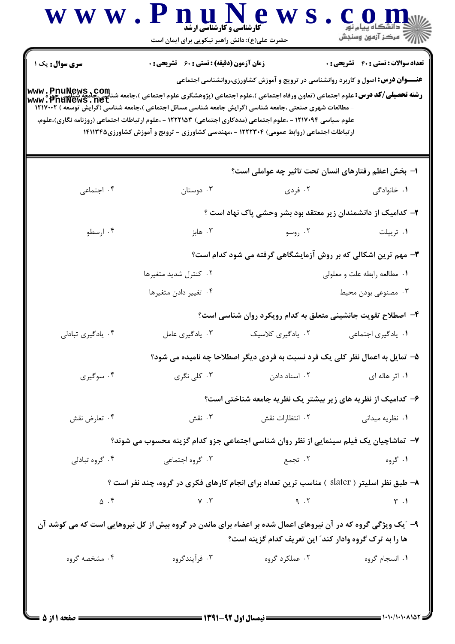| <b>سری سوال :</b> یک ۱ | <b>زمان آزمون (دقیقه) : تستی : 60 ٪ تشریحی : 0</b>                                                                                                                        |                                                                                         | <b>تعداد سوالات : تستي : 40 ٪ تشريحي : 0</b> |
|------------------------|---------------------------------------------------------------------------------------------------------------------------------------------------------------------------|-----------------------------------------------------------------------------------------|----------------------------------------------|
|                        | WWW . PnuNews . COM<br>و <b>شته تحصیلی/کد درس:</b> علوم اجتماعی (تعاون ورفاه اجتماعی )،علوم اجتماعی (پژوهشگری علوم اجتماعی )،جامعه شناسی می استا<br>  www . PnuNews . net | <b>عنـــوان درس:</b> اصول و کاربرد روانشناسی در ترویج و آموزش کشاورزی،روانشناسی اجتماعی |                                              |
|                        | - مطالعات شهری صنعتی ،جامعه شناسی (گرایش جامعه شناسی مسائل اجتماعی )،جامعه شناسی (گرایش توسعه ) ۱۲۱۷۰۰۲                                                                   |                                                                                         |                                              |
|                        | علوم سیاسی ۱۲۱۷۰۹۴ - ،علوم اجتماعی (مددکاری اجتماعی) ۱۲۲۲۱۵۳ - ،علوم ارتباطات اجتماعی (روزنامه نگاری)،علوم،                                                               |                                                                                         |                                              |
|                        | ارتباطات اجتماعی (روابط عمومی) ۱۲۲۲۳۰۴ - ،مهندسی کشاورزی - ترویج و آموزش کشاورزی۱۴۱۱۳۴۵                                                                                   |                                                                                         |                                              |
|                        |                                                                                                                                                                           |                                                                                         |                                              |
|                        |                                                                                                                                                                           | ا– بخش اعظم رفتارهای انسان تحت تاثیر چه عواملی است؟                                     |                                              |
| ۰۴ اجتماعی             | ۰۳ دوستان                                                                                                                                                                 | ۰۲ فردی                                                                                 | ۰۱ خانوادگی                                  |
|                        |                                                                                                                                                                           | ۲– کدامیک از دانشمندان زیر معتقد بود بشر وحشی پاک نهاد است ؟                            |                                              |
| ۰۴ ارسطو               | ۰۳ هابز                                                                                                                                                                   | ۰۲ روسو                                                                                 | ۰۱ تریپلت                                    |
|                        |                                                                                                                                                                           | ۳- مهم ترین اشکالی که بر روش آزمایشگاهی گرفته می شود کدام است؟                          |                                              |
|                        | ۰۲ کنترل شدید متغیرها                                                                                                                                                     |                                                                                         | ۰۱ مطالعه رابطه علت و معلولی                 |
|                        | ۰۴ تغییر دادن متغیرها                                                                                                                                                     |                                                                                         | ۰۳ مصنوعی بودن محیط                          |
|                        |                                                                                                                                                                           | ۴- اصطلاح تقویت جانشینی متعلق به کدام رویکرد روان شناسی است؟                            |                                              |
| ۰۴ يادگيري تبادلي      | ۰۳ يادگيري عامل                                                                                                                                                           | ٢. يادگيري كلاسيك                                                                       | ٠١. يادكيرى اجتماعي                          |
|                        |                                                                                                                                                                           | ۵- تمایل به اعمال نظر کلی یک فرد نسبت به فردی دیگر اصطلاحا چه نامیده می شود؟            |                                              |
| ۰۴ سوگیری              | ۰۳ کلی نگری                                                                                                                                                               | ۰۲ اسناد دادن                                                                           | ۰۱ اثر هاله ای                               |
|                        |                                                                                                                                                                           | ۶- کدامیک از نظریه های زیر بیشتر یک نظریه جامعه شناختی است؟                             |                                              |
| ۰۴ تعارض نقش           | ۰۳ نقش                                                                                                                                                                    | ۰۲ انتظارات نقش                                                                         | ۰۱ نظریه میدانی                              |
|                        | ۷–  تماشاچیان یک فیلم سینمایی از نظر روان شناسی اجتماعی جزو کدام گزینه محسوب می شوند؟                                                                                     |                                                                                         |                                              |
| ۰۴ گروه تبادلی         | ۰۳ گروه اجتماعی                                                                                                                                                           | ۲. تجمع                                                                                 | ۰۱ گروه                                      |
|                        | ۸– طبق نظر اسلیتر ( slater ) مناسب ترین تعداد برای انجام کارهای فکری در گروه، چند نفر است ؟                                                                               |                                                                                         |                                              |
| $\Delta$ .۴            | $\gamma$ . $\tau$                                                                                                                                                         | $\begin{array}{cc} \mathsf{q} & \mathsf{r} \end{array}$                                 | $\uparrow$ .1                                |
|                        | ۹- "یک ویژگی گروه که در آن نیروهای اعمال شده بر اعضاء برای ماندن در گروه بیش از کل نیروهایی است که می کوشد آن                                                             |                                                                                         |                                              |
|                        |                                                                                                                                                                           | ها را به ترک گروه وادار کند" این تعریف کدام گزینه است؟                                  |                                              |
| ۰۴ مشخصه گروه          | ۰۳ فرآیندگروه                                                                                                                                                             | ۰۲ عملکرد گروه                                                                          | ۰۱ انسجام گروه                               |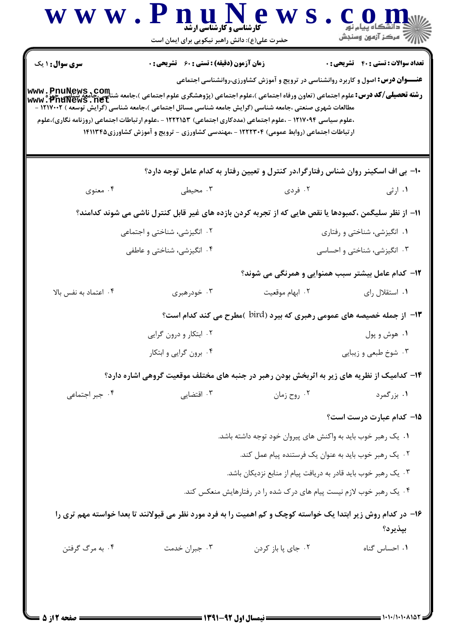| <b>سری سوال : ۱ یک</b> | <b>زمان آزمون (دقیقه) : تستی : 60 ٪ تشریحی : 0</b>                     | <b>عنـــوان درس:</b> اصول و کاربرد روانشناسی در ترویج و آموزش کشاورزی،روانشناسی اجتماعی                                                                               | <b>تعداد سوالات : تستی : 40 قشریحی : 0</b> |
|------------------------|------------------------------------------------------------------------|-----------------------------------------------------------------------------------------------------------------------------------------------------------------------|--------------------------------------------|
|                        |                                                                        | www . PnuNews . Com<br>  <b>وشته تحصیلی/کد درس:</b> علوم اجتماعی (تعاون ورفاه اجتماعی ) ،علوم اجتماعی کبوم اجتماعی )،جامعه شناسی جامعه شناسی<br>  www . PnuNews . net |                                            |
|                        |                                                                        | مطالعات شهری صنعتی ،جامعه شناسی (گرایش جامعه شناسی مسائل اجتماعی )،جامعه شناسی (گرایش توسعه ) ۱۲۱۷۰۰۲ -                                                               |                                            |
|                        |                                                                        | ،علوم سیاسی ۱۲۱۷۰۹۴ - ،علوم اجتماعی (مددکاری اجتماعی) ۱۲۲۲۱۵۳ - ،علوم ارتباطات اجتماعی (روزنامه نگاری)،علوم                                                           |                                            |
|                        |                                                                        | ارتباطات اجتماعی (روابط عمومی) ۱۲۲۲۳۰۴ - ،مهندسی کشاورزی - ترویج و آموزش کشاورزی۱۴۱۱۳۴۵                                                                               |                                            |
|                        |                                                                        |                                                                                                                                                                       |                                            |
|                        |                                                                        | ∙۱- بی اف اسکینر روان شناس رفتارگرا،در کنترل و تعیین رفتار به کدام عامل توجه دارد؟                                                                                    |                                            |
| ۰۴ معنوي               | ۰۳ محیطی                                                               | ۰۲ فردی                                                                                                                                                               | ۰۱ ارثی                                    |
|                        |                                                                        | 11– از نظر سلیگمن ،کمبودها یا نقص هایی که از تجربه کردن بازده های غیر قابل کنترل ناشی می شوند کدامند؟                                                                 |                                            |
|                        | ۲. انگیزشی، شناختی و اجتماعی                                           |                                                                                                                                                                       | ۰۱ انگیزشی، شناختی و رفتاری                |
|                        | ۰۴ انگیزشی، شناختی و عاطفی                                             | ۰۳ انگیزشی، شناختی و احساسی                                                                                                                                           |                                            |
|                        |                                                                        | <b>۱۲</b> - کدام عامل بیشتر سبب همنوایی و همرنگی می شوند؟                                                                                                             |                                            |
| ۰۴ اعتماد به نفس بالا  | ۰۳ خودرهبری                                                            | ۰۲ ابهام موقعیت                                                                                                                                                       | ۰۱ استقلال رای                             |
|                        | ۱۳- از جمله خصیصه های عمومی رهبری که بیرد (bird )مطرح می کند کدام است؟ |                                                                                                                                                                       |                                            |
|                        | ۰۲ ابتکار و درون گرایی                                                 |                                                                                                                                                                       | ۰۱ هوش و پول                               |
|                        | ۰۴ برون گرایی و ابتکار                                                 |                                                                                                                                                                       | ۰۳ شوخ طبعي و زيبايي                       |
|                        |                                                                        | ۱۴- کدامیک از نظریه های زیر به اثربخش بودن رهبر در جنبه های مختلف موقعیت گروهی اشاره دارد؟                                                                            |                                            |
| ۰۴ جبر اجتماعی         | ۰۳ اقتضایی                                                             | ۰۲ روح زمان                                                                                                                                                           | ۱. بزرگمرد                                 |
|                        |                                                                        |                                                                                                                                                                       | ۱۵– کدام عبارت درست است؟                   |
|                        |                                                                        | ۰۱ یک رهبر خوب باید به واکنش های پیروان خود توجه داشته باشد.                                                                                                          |                                            |
|                        |                                                                        | ۰۲ یک رهبر خوب باید به عنوان یک فرستنده پیام عمل کند.                                                                                                                 |                                            |
|                        |                                                                        | ۰۳ یک رهبر خوب باید قادر به دریافت پیام از منابع نزدیکان باشد.                                                                                                        |                                            |
|                        |                                                                        | ۰۴ یک رهبر خوب لازم نیست پیام های درک شده را در رفتارهایش منعکس کند.                                                                                                  |                                            |
|                        |                                                                        | ۱۶– در کدام روش زیر ابتدا یک خواسته کوچک و کم اهمیت را به فرد مورد نظر می قبولانند تا بعدا خواسته مهم تری را                                                          |                                            |
|                        |                                                                        |                                                                                                                                                                       | بپذيرد؟                                    |
| ۰۴ به مرگ گرفتن        | ۰۳ جبران خدمت                                                          | ٠٢ جاي پا باز كردن                                                                                                                                                    | ٠١. احساس گناه                             |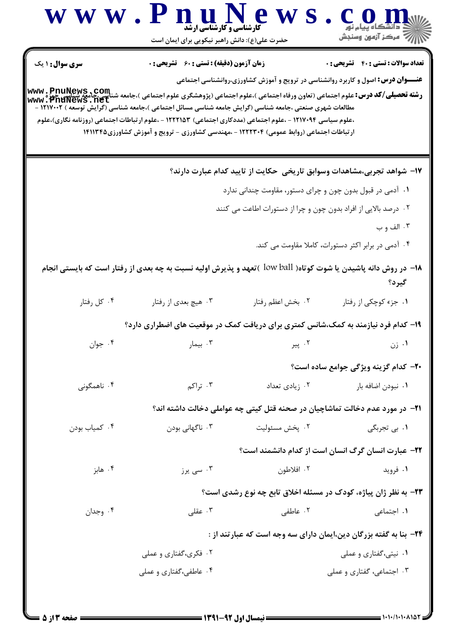|                        | <b>کارشناسی و کارشناسی ارشد</b><br>حضرت علی(ع): دانش راهبر نیکویی برای ایمان است                                                                                                                       |                                                                                         | ڪ دانشگاه پيام نور<br>  /> مرڪز آزمون وسنڊش                |
|------------------------|--------------------------------------------------------------------------------------------------------------------------------------------------------------------------------------------------------|-----------------------------------------------------------------------------------------|------------------------------------------------------------|
| <b>سری سوال : ۱ یک</b> | زمان آزمون (دقیقه) : تستی : 60 ٪ تشریحی : 0                                                                                                                                                            |                                                                                         | <b>تعداد سوالات : تستي : 40 ٪ تشريحي : 0</b>               |
|                        |                                                                                                                                                                                                        | <b>عنـــوان درس:</b> اصول و کاربرد روانشناسی در ترویج و آموزش کشاورزی،روانشناسی اجتماعی |                                                            |
|                        |                                                                                                                                                                                                        |                                                                                         |                                                            |
|                        | مطالعات شهری صنعتی ،جامعه شناسی (گرایش جامعه شناسی مسائل اجتماعی )،جامعه شناسی (گرایش توسعه ) ۱۲۱۷۰۰۲ -                                                                                                |                                                                                         |                                                            |
|                        | ،علوم سیاسی ۱۲۱۷۰۹۴ - ،علوم اجتماعی (مددکاری اجتماعی) ۱۲۲۲۱۵۳ - ،علوم ارتباطات اجتماعی (روزنامه نگاری)،علوم<br>ارتباطات اجتماعی (روابط عمومی) ۱۲۲۲۳۰۴ - ،مهندسی کشاورزی - ترویج و آموزش کشاورزی۱۴۱۱۳۴۵ |                                                                                         |                                                            |
|                        |                                                                                                                                                                                                        |                                                                                         |                                                            |
|                        |                                                                                                                                                                                                        | ۱۷– شواهد تجربی،مشاهدات وسوابق تاریخی حکایت از تایید کدام عبارت دارند؟                  |                                                            |
|                        |                                                                                                                                                                                                        | ۰۱ آدمی در قبول بدون چون و چرای دستور، مقاومت چندانی ندارد                              |                                                            |
|                        |                                                                                                                                                                                                        | ۰۲ درصد بالایی از افراد بدون چون و چرا از دستورات اطاعت می کنند                         |                                                            |
|                        |                                                                                                                                                                                                        |                                                                                         | ۰۳ الف و ب                                                 |
|                        |                                                                                                                                                                                                        |                                                                                         | ۰۴ آدمی در برابر اکثر دستورات، کاملا مقاومت می کند.        |
|                        | ۱۸− در روش دانه پاشیدن یا شوت کوتاه( low ball )تعهد و پذیرش اولیه نسبت به چه بعدی از رفتار است که بایستی انجام                                                                                         |                                                                                         |                                                            |
|                        |                                                                                                                                                                                                        |                                                                                         | گيرد؟                                                      |
| ۰۴ کل رفتار            | ۰۳ هیچ بعدي از رفتار                                                                                                                                                                                   | ٠٢ بخش اعظم رفتار                                                                       | ۰۱ جزء کوچکی از رفتار                                      |
|                        | ۱۹- کدام فرد نیازمند به کمک،شانس کمتری برای دریافت کمک در موقعیت های اضطراری دارد؟                                                                                                                     |                                                                                         |                                                            |
| ۰۴ جوان                | ۰۳ بیمار                                                                                                                                                                                               |                                                                                         | ۰۱ زن                                                      |
|                        |                                                                                                                                                                                                        |                                                                                         | <b>۲۰- کدام گزینه ویژگی جوامع ساده است؟</b>                |
| ۰۴ ناهمگونی            | ۰۳ تراکم                                                                                                                                                                                               | ۰۲ زیادی تعداد                                                                          | ۰۱ نبودن اضافه بار                                         |
|                        |                                                                                                                                                                                                        | <b>۲۱</b> - در مورد عدم دخالت تماشاچیان در صحنه قتل کیتی چه عواملی دخالت داشته اند؟     |                                                            |
| ۰۴ کمیاب بودن          | ۰۳ ناگهانی بودن                                                                                                                                                                                        | ۰۲ پخش مسئوليت                                                                          | ۰۱ ب <sub>ی</sub> تجربگی                                   |
|                        |                                                                                                                                                                                                        |                                                                                         | <b>۲۲</b> - عبارت انسان گرگ انسان است از کدام دانشمند است؟ |
| ۰۴ هابز                | ۰۳ سی یرز                                                                                                                                                                                              | ۰۲ افلاطون                                                                              | ۰۱ فروید                                                   |
|                        |                                                                                                                                                                                                        | ۲۳- به نظر ژان پیاژه، کودک در مسئله اخلاق تابع چه نوع رشدی است؟                         |                                                            |
| ۰۴ وجدان               | ۰۳ عقلی $\cdot$                                                                                                                                                                                        | ۰۲ عاطفی                                                                                | ۰۱ اجتماعی                                                 |
|                        |                                                                                                                                                                                                        | ۲۴− بنا به گفته بزرگان دین،ایمان دارای سه وجه است که عبارتند از :                       |                                                            |
|                        | ۰۲ فکری،گفتاری و عملی                                                                                                                                                                                  |                                                                                         | ۰۱ نیتی،گفتاری و عملی                                      |
|                        |                                                                                                                                                                                                        |                                                                                         |                                                            |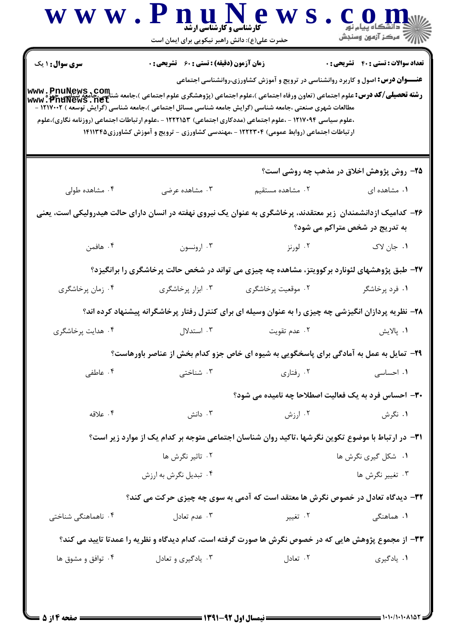| <b>سری سوال : ۱ یک</b> | <b>زمان آزمون (دقیقه) : تستی : 60 گشریحی : 0</b> |                                                                                                                                                                                                                                                                                         | <b>تعداد سوالات : تستي : 40 - تشريحي : 0</b> |
|------------------------|--------------------------------------------------|-----------------------------------------------------------------------------------------------------------------------------------------------------------------------------------------------------------------------------------------------------------------------------------------|----------------------------------------------|
|                        |                                                  | <b>عنـــوان درس:</b> اصول و کاربرد روانشناسی در ترویج و آموزش کشاورزی،روانشناسی اجتماعی                                                                                                                                                                                                 |                                              |
|                        |                                                  | <b>www . PnuNews , com</b><br>ر <b>شته تحصیلی/کد درس:</b> علوم اجتماعی (تعاون ورفاه اجتماعی )،علوم اجتماعی (پژوهشگری علوم اجتماعی )،جامعه شناسی چیز می<br>www . PnuNews . net<br>مطالعات شهری صنعتی ،جامعه شناسی (گرایش جامعه شناسی مسائل اجتماعی )،جامعه شناسی (گرایش توسعه) ۱۲۱۷۰۰۲ - |                                              |
|                        |                                                  | ،علوم سیاسی ۱۲۱۷۰۹۴ - ،علوم اجتماعی (مددکاری اجتماعی) ۱۲۲۲۱۵۳ - ،علوم ارتباطات اجتماعی (روزنامه نگاری)،علوم                                                                                                                                                                             |                                              |
|                        |                                                  | ارتباطات اجتماعی (روابط عمومی) ۱۲۲۲۳۰۴ - ،مهندسی کشاورزی - ترویج و آموزش کشاورزی۱۴۱۱۳۴۵                                                                                                                                                                                                 |                                              |
|                        |                                                  |                                                                                                                                                                                                                                                                                         |                                              |
|                        |                                                  | ۲۵- روش پژوهش اخلاق در مذهب چه روشی است؟                                                                                                                                                                                                                                                |                                              |
| ۰۴ مشاهده طولی         | ۰۳ مشاهده عرضی                                   | ۰۲ مشاهده مستقیم                                                                                                                                                                                                                                                                        | ۰۱ مشاهده ای                                 |
|                        |                                                  | ۲۶– کدامیک ازدانشمندان  زیر معتقدند، پرخاشگری به عنوان یک نیروی نهفته در انسان دارای حالت هیدرولیکی است، یعنی                                                                                                                                                                           |                                              |
|                        |                                                  |                                                                                                                                                                                                                                                                                         | به تدریج در شخص متراکم می شود؟               |
| ۰۴ هافمن               | ۰۳ ارونسون                                       | ۰۲ لورنز                                                                                                                                                                                                                                                                                | ١. جان لاک                                   |
|                        |                                                  | ۲۷- طبق پژوهشهای لئونارد برکوویتز، مشاهده چه چیزی می تواند در شخص حالت پرخاشگری را برانگیزد؟                                                                                                                                                                                            |                                              |
| ۰۴ زمان پرخاشگری       | ۰۳ ابزار پرخاشگری                                | ۰۲ موقعیت پرخاشگری                                                                                                                                                                                                                                                                      | ۰۱ فرد پرخاشگر                               |
|                        |                                                  | ۲۸- نظریه پردازان انگیزشی چه چیزی را به عنوان وسیله ای برای کنترل رفتار پرخاشگرانه پیشنهاد کرده اند؟                                                                                                                                                                                    |                                              |
| ۰۴ هدایت پرخاشگری      | ۰۳ استدلال                                       | ۰۲ عدم تقويت                                                                                                                                                                                                                                                                            | ٠١. پالايش                                   |
|                        |                                                  | ۲۹- تمایل به عمل به آمادگی برای پاسخگویی به شیوه ای خاص جزو کدام بخش از عناصر باورهاست؟                                                                                                                                                                                                 |                                              |
| ۰۴ عاطفی               | ۰۳ شناختی                                        | ۰۲ رفتاری                                                                                                                                                                                                                                                                               | ۰۱ احساسی                                    |
|                        |                                                  | <b>۳۰</b> - احساس فرد به یک فعالیت اصطلاحا چه نامیده می شود؟                                                                                                                                                                                                                            |                                              |
| ۰۴ علاقه               | ۰۳ دانش                                          | ۰۲ ارزش                                                                                                                                                                                                                                                                                 | ۰۱ نگرش                                      |
|                        |                                                  | ۳۱– در ارتباط با موضوع تکوین نگرشها ،تاکید روان شناسان اجتماعی متوجه بر کدام یک از موارد زیر است؟                                                                                                                                                                                       |                                              |
|                        | ۰۲ تاثیر نگرش ها                                 |                                                                                                                                                                                                                                                                                         | ۰۱ شکل گیری نگرش ها                          |
|                        | ۰۴ تبدیل نگرش به ارزش                            |                                                                                                                                                                                                                                                                                         | ۰۳ تغییر نگرش ها                             |
|                        |                                                  | ۳۲- دیدگاه تعادل در خصوص نگرش ها معتقد است که آدمی به سوی چه چیزی حرکت می کند؟                                                                                                                                                                                                          |                                              |
| ۰۴ ناهماهنگی شناختی    | ۰۳ عدم تعادل                                     | ۰۲ تغییر                                                                                                                                                                                                                                                                                | ۰۱ هماهنگی                                   |
|                        |                                                  | ۳۳– از مجموع پژوهش هایی که در خصوص نگرش ها صورت گرفته است، کدام دیدگاه و نظریه را عمدتا تایید می کند؟                                                                                                                                                                                   |                                              |
| ۰۴ توافق و مشوق ها     | ۰۳ یادگیری و تعادل                               | ۰۲ تعادل                                                                                                                                                                                                                                                                                | ۰۱ يادگيري                                   |